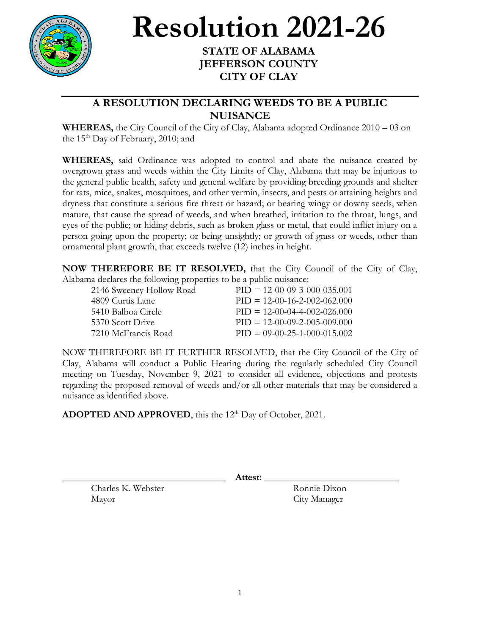

## **Resolution 2021-26**

## **STATE OF ALABAMA JEFFERSON COUNTY CITY OF CLAY**

## **A RESOLUTION DECLARING WEEDS TO BE A PUBLIC NUISANCE**

**WHEREAS,** the City Council of the City of Clay, Alabama adopted Ordinance 2010 – 03 on the  $15<sup>th</sup>$  Day of February, 2010; and

**WHEREAS,** said Ordinance was adopted to control and abate the nuisance created by overgrown grass and weeds within the City Limits of Clay, Alabama that may be injurious to the general public health, safety and general welfare by providing breeding grounds and shelter for rats, mice, snakes, mosquitoes, and other vermin, insects, and pests or attaining heights and dryness that constitute a serious fire threat or hazard; or bearing wingy or downy seeds, when mature, that cause the spread of weeds, and when breathed, irritation to the throat, lungs, and eyes of the public; or hiding debris, such as broken glass or metal, that could inflict injury on a person going upon the property; or being unsightly; or growth of grass or weeds, other than ornamental plant growth, that exceeds twelve (12) inches in height.

**NOW THEREFORE BE IT RESOLVED,** that the City Council of the City of Clay, Alabama declares the following properties to be a public nuisance:

| 2146 Sweeney Hollow Road | $PID = 12-00-09-3-000-035.001$ |
|--------------------------|--------------------------------|
| 4809 Curtis Lane         | $PID = 12-00-16-2-002-062.000$ |
| 5410 Balboa Circle       | $PID = 12-00-04-4-002-026.000$ |
| 5370 Scott Drive         | $PID = 12-00-09-2-005-009,000$ |
| 7210 McFrancis Road      | $PID = 09-00-25-1-000-015.002$ |

NOW THEREFORE BE IT FURTHER RESOLVED, that the City Council of the City of Clay, Alabama will conduct a Public Hearing during the regularly scheduled City Council meeting on Tuesday, November 9, 2021 to consider all evidence, objections and protests regarding the proposed removal of weeds and/or all other materials that may be considered a nuisance as identified above.

ADOPTED AND APPROVED, this the 12<sup>th</sup> Day of October, 2021.

\_\_\_\_\_\_\_\_\_\_\_\_\_\_\_\_\_\_\_\_\_\_\_\_\_\_\_\_\_\_\_\_\_\_ **Attest**: \_\_\_\_\_\_\_\_\_\_\_\_\_\_\_\_\_\_\_\_\_\_\_\_\_\_\_\_

Charles K. Webster Ronnie Dixon Mayor City Manager